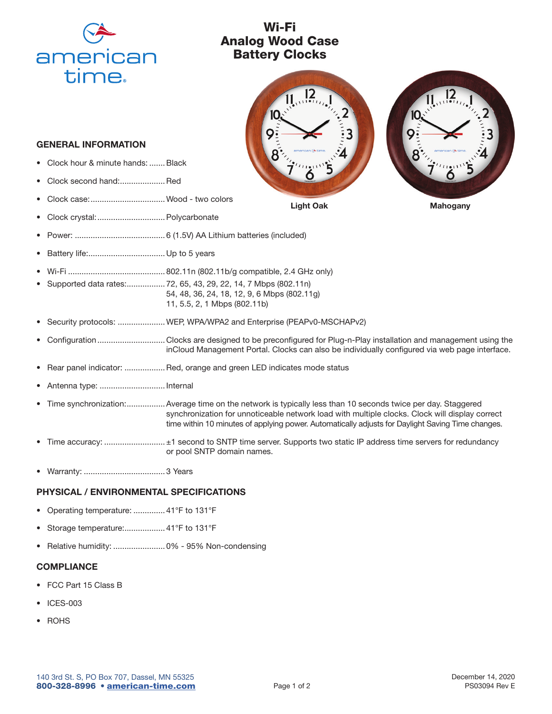

## Wi-Fi Analog Wood Case Battery Clocks



GENERAL INFORMATION

- Clock hour & minute hands: ....... Black
- Clock second hand:....................Red
- Clock case:.................................Wood two colors
- Clock crystal:..............................Polycarbonate
- Power: ........................................ 6 (1.5V) AA Lithium batteries (included)
- Battery life:.................................. Up to 5 years
- Wi-Fi ........................................... 802.11n (802.11b/g compatible, 2.4 GHz only)
- Supported data rates:................. 72, 65, 43, 29, 22, 14, 7 Mbps (802.11n) 54, 48, 36, 24, 18, 12, 9, 6 Mbps (802.11g) 11, 5.5, 2, 1 Mbps (802.11b)
- Security protocols: .....................WEP, WPA/WPA2 and Enterprise (PEAPv0-MSCHAPv2)
- Configuration .............................. Clocks are designed to be preconfigured for Plug-n-Play installation and management using the inCloud Management Portal. Clocks can also be individually configured via web page interface.
- Rear panel indicator: .................. Red, orange and green LED indicates mode status
- Antenna type: ............................. Internal
- Time synchronization:.................Average time on the network is typically less than 10 seconds twice per day. Staggered synchronization for unnoticeable network load with multiple clocks. Clock will display correct time within 10 minutes of applying power. Automatically adjusts for Daylight Saving Time changes.
- Time accuracy: ............................ ±1 second to SNTP time server. Supports two static IP address time servers for redundancy or pool SNTP domain names.
- Warranty: .................................... 3 Years

## PHYSICAL / ENVIRONMENTAL SPECIFICATIONS

- Operating temperature: .............. 41°F to 131°F
- Storage temperature:................... 41°F to 131°F
- Relative humidity: ....................... 0% 95% Non-condensing

## **COMPLIANCE**

- FCC Part 15 Class B
- ICES-003
- **ROHS**